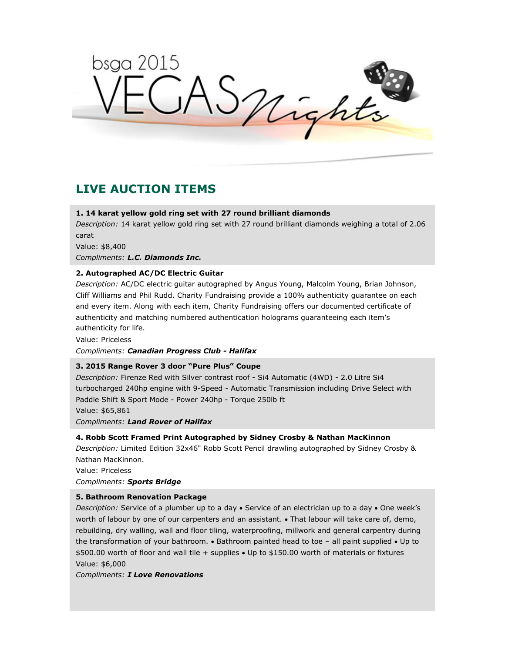bsga 2015 ASnights

# **LIVE AUCTION ITEMS**

# **1. 14 karat yellow gold ring set with 27 round brilliant diamonds**

*Description:* 14 karat yellow gold ring set with 27 round brilliant diamonds weighing a total of 2.06 carat

Value: \$8,400

*Compliments: L.C. Diamonds Inc.*

# **2. Autographed AC/DC Electric Guitar**

*Description:* AC/DC electric guitar autographed by Angus Young, Malcolm Young, Brian Johnson, Cliff Williams and Phil Rudd. Charity Fundraising provide a 100% authenticity guarantee on each and every item. Along with each item, Charity Fundraising offers our documented certificate of authenticity and matching numbered authentication holograms guaranteeing each item's authenticity for life.

Value: Priceless *Compliments: Canadian Progress Club - Halifax*

## **3. 2015 Range Rover 3 door "Pure Plus" Coupe**

*Description:* Firenze Red with Silver contrast roof - Si4 Automatic (4WD) - 2.0 Litre Si4 turbocharged 240hp engine with 9-Speed - Automatic Transmission including Drive Select with Paddle Shift & Sport Mode - Power 240hp - Torque 250lb ft Value: \$65,861 *Compliments: Land Rover of Halifax*

# **4. Robb Scott Framed Print Autographed by Sidney Crosby & Nathan MacKinnon**

*Description:* Limited Edition 32x46" Robb Scott Pencil drawling autographed by Sidney Crosby & Nathan MacKinnon.

Value: Priceless

*Compliments: Sports Bridge*

# **5. Bathroom Renovation Package**

*Description:* Service of a plumber up to a day • Service of an electrician up to a day • One week's worth of labour by one of our carpenters and an assistant.  $\bullet$  That labour will take care of, demo, rebuilding, dry walling, wall and floor tiling, waterproofing, millwork and general carpentry during the transformation of your bathroom.  $\bullet$  Bathroom painted head to toe – all paint supplied  $\bullet$  Up to \$500.00 worth of floor and wall tile + supplies Up to \$150.00 worth of materials or fixtures Value: \$6,000

*Compliments: I Love Renovations*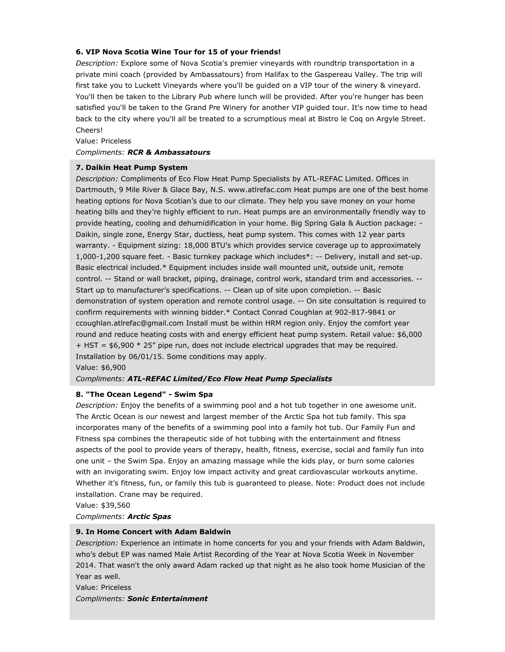## **6. VIP Nova Scotia Wine Tour for 15 of your friends!**

*Description:* Explore some of Nova Scotia's premier vineyards with roundtrip transportation in a private mini coach (provided by Ambassatours) from Halifax to the Gaspereau Valley. The trip will first take you to Luckett Vineyards where you'll be guided on a VIP tour of the winery & vineyard. You'll then be taken to the Library Pub where lunch will be provided. After you're hunger has been satisfied you'll be taken to the Grand Pre Winery for another VIP guided tour. It's now time to head back to the city where you'll all be treated to a scrumptious meal at Bistro le Coq on Argyle Street. Cheers!

Value: Priceless

## *Compliments: RCR & Ambassatours*

## **7. Daikin Heat Pump System**

*Description:* Compliments of Eco Flow Heat Pump Specialists by ATL-REFAC Limited. Offices in Dartmouth, 9 Mile River & Glace Bay, N.S. www.atlrefac.com Heat pumps are one of the best home heating options for Nova Scotian's due to our climate. They help you save money on your home heating bills and they're highly efficient to run. Heat pumps are an environmentally friendly way to provide heating, cooling and dehumidification in your home. Big Spring Gala & Auction package: - Daikin, single zone, Energy Star, ductless, heat pump system. This comes with 12 year parts warranty. - Equipment sizing: 18,000 BTU's which provides service coverage up to approximately 1,000-1,200 square feet. - Basic turnkey package which includes\*: -- Delivery, install and set-up. Basic electrical included.\* Equipment includes inside wall mounted unit, outside unit, remote control. -- Stand or wall bracket, piping, drainage, control work, standard trim and accessories. -- Start up to manufacturer's specifications. -- Clean up of site upon completion. -- Basic demonstration of system operation and remote control usage. -- On site consultation is required to confirm requirements with winning bidder.\* Contact Conrad Coughlan at 902-817-9841 or ccoughlan.atlrefac@gmail.com Install must be within HRM region only. Enjoy the comfort year round and reduce heating costs with and energy efficient heat pump system. Retail value: \$6,000 + HST = \$6,900 \* 25" pipe run, does not include electrical upgrades that may be required. Installation by 06/01/15. Some conditions may apply.

Value: \$6,900

*Compliments: ATL-REFAC Limited/Eco Flow Heat Pump Specialists*

## **8. "The Ocean Legend" - Swim Spa**

*Description:* Enjoy the benefits of a swimming pool and a hot tub together in one awesome unit. The Arctic Ocean is our newest and largest member of the Arctic Spa hot tub family. This spa incorporates many of the benefits of a swimming pool into a family hot tub. Our Family Fun and Fitness spa combines the therapeutic side of hot tubbing with the entertainment and fitness aspects of the pool to provide years of therapy, health, fitness, exercise, social and family fun into one unit – the Swim Spa. Enjoy an amazing massage while the kids play, or burn some calories with an invigorating swim. Enjoy low impact activity and great cardiovascular workouts anytime. Whether it's fitness, fun, or family this tub is guaranteed to please. Note: Product does not include installation. Crane may be required.

Value: \$39,560

*Compliments: Arctic Spas*

#### **9. In Home Concert with Adam Baldwin**

*Description:* Experience an intimate in home concerts for you and your friends with Adam Baldwin, who's debut EP was named Male Artist Recording of the Year at Nova Scotia Week in November 2014. That wasn't the only award Adam racked up that night as he also took home Musician of the Year as well.

Value: Priceless *Compliments: Sonic Entertainment*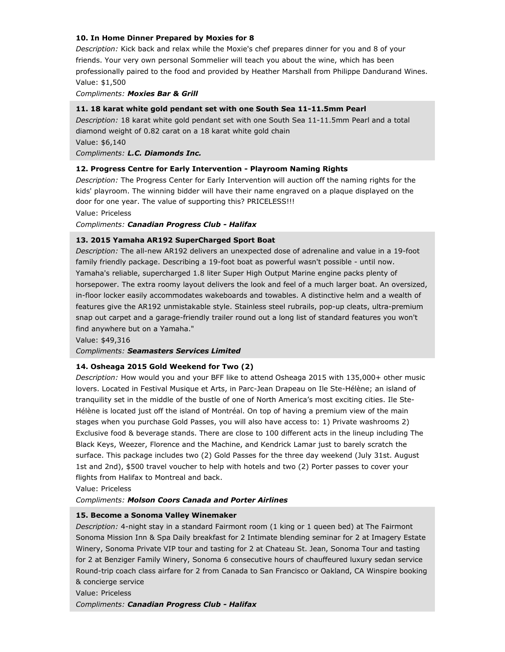# **10. In Home Dinner Prepared by Moxies for 8**

*Description:* Kick back and relax while the Moxie's chef prepares dinner for you and 8 of your friends. Your very own personal Sommelier will teach you about the wine, which has been professionally paired to the food and provided by Heather Marshall from Philippe Dandurand Wines. Value: \$1,500

*Compliments: Moxies Bar & Grill*

# **11. 18 karat white gold pendant set with one South Sea 11-11.5mm Pearl**

*Description:* 18 karat white gold pendant set with one South Sea 11-11.5mm Pearl and a total diamond weight of 0.82 carat on a 18 karat white gold chain Value: \$6,140

*Compliments: L.C. Diamonds Inc.*

## **12. Progress Centre for Early Intervention - Playroom Naming Rights**

*Description:* The Progress Center for Early Intervention will auction off the naming rights for the kids' playroom. The winning bidder will have their name engraved on a plaque displayed on the door for one year. The value of supporting this? PRICELESS!!!

Value: Priceless

*Compliments: Canadian Progress Club - Halifax*

## **13. 2015 Yamaha AR192 SuperCharged Sport Boat**

*Description:* The all-new AR192 delivers an unexpected dose of adrenaline and value in a 19-foot family friendly package. Describing a 19-foot boat as powerful wasn't possible - until now. Yamaha's reliable, supercharged 1.8 liter Super High Output Marine engine packs plenty of horsepower. The extra roomy layout delivers the look and feel of a much larger boat. An oversized, in-floor locker easily accommodates wakeboards and towables. A distinctive helm and a wealth of features give the AR192 unmistakable style. Stainless steel rubrails, pop-up cleats, ultra-premium snap out carpet and a garage-friendly trailer round out a long list of standard features you won't find anywhere but on a Yamaha."

Value: \$49,316

*Compliments: Seamasters Services Limited*

## **14. Osheaga 2015 Gold Weekend for Two (2)**

*Description:* How would you and your BFF like to attend Osheaga 2015 with 135,000+ other music lovers. Located in Festival Musique et Arts, in Parc-Jean Drapeau on Ile Ste-Hélène; an island of tranquility set in the middle of the bustle of one of North America's most exciting cities. Ile Ste-Hélène is located just off the island of Montréal. On top of having a premium view of the main stages when you purchase Gold Passes, you will also have access to: 1) Private washrooms 2) Exclusive food & beverage stands. There are close to 100 different acts in the lineup including The Black Keys, Weezer, Florence and the Machine, and Kendrick Lamar just to barely scratch the surface. This package includes two (2) Gold Passes for the three day weekend (July 31st. August 1st and 2nd), \$500 travel voucher to help with hotels and two (2) Porter passes to cover your flights from Halifax to Montreal and back.

Value: Priceless

#### *Compliments: Molson Coors Canada and Porter Airlines*

## **15. Become a Sonoma Valley Winemaker**

*Description:* 4-night stay in a standard Fairmont room (1 king or 1 queen bed) at The Fairmont Sonoma Mission Inn & Spa Daily breakfast for 2 Intimate blending seminar for 2 at Imagery Estate Winery, Sonoma Private VIP tour and tasting for 2 at Chateau St. Jean, Sonoma Tour and tasting for 2 at Benziger Family Winery, Sonoma 6 consecutive hours of chauffeured luxury sedan service Round-trip coach class airfare for 2 from Canada to San Francisco or Oakland, CA Winspire booking & concierge service

Value: Priceless

*Compliments: Canadian Progress Club - Halifax*